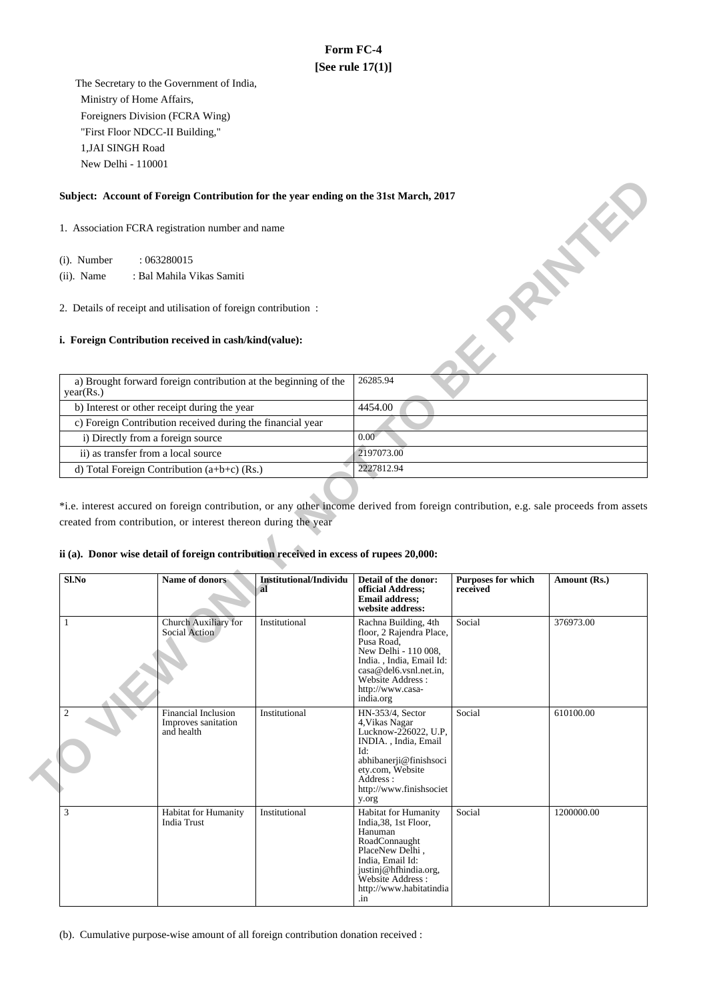# **Form FC-4 [See rule 17(1)]**

 The Secretary to the Government of India, Ministry of Home Affairs, Foreigners Division (FCRA Wing) "First Floor NDCC-II Building," 1,JAI SINGH Road New Delhi - 110001

## **Subject: Account of Foreign Contribution for the year ending on the 31st March, 2017**

### **i. Foreign Contribution received in cash/kind(value):**

| Subject: Account of Foreign Contribution for the year ending on the 31st March, 2017 |                   |
|--------------------------------------------------------------------------------------|-------------------|
| 1. Association FCRA registration number and name                                     |                   |
| (i). Number<br>:063280015                                                            |                   |
| $(ii)$ . Name<br>: Bal Mahila Vikas Samiti                                           |                   |
| 2. Details of receipt and utilisation of foreign contribution:                       |                   |
| <i>i.</i> Foreign Contribution received in cash/kind(value):                         |                   |
| a) Brought forward foreign contribution at the beginning of the<br>year(Rs.)         | 26285.94          |
| b) Interest or other receipt during the year                                         | 4454.00           |
| c) Foreign Contribution received during the financial year                           |                   |
| i) Directly from a foreign source                                                    | 0.00 <sub>1</sub> |
| ii) as transfer from a local source                                                  | 2197073.00        |
| d) Total Foreign Contribution (a+b+c) (Rs.)                                          | 2227812.94        |

\*i.e. interest accured on foreign contribution, or any other income derived from foreign contribution, e.g. sale proceeds from assets created from contribution, or interest thereon during the year

## **ii (a). Donor wise detail of foreign contribution received in excess of rupees 20,000:**

| Sl.No          | Name of donors                                           | Institutional/Individu<br>al | Detail of the donor:<br>official Address;<br><b>Email address;</b><br>website address:                                                                                                                 | <b>Purposes for which</b><br>received | Amount (Rs.) |
|----------------|----------------------------------------------------------|------------------------------|--------------------------------------------------------------------------------------------------------------------------------------------------------------------------------------------------------|---------------------------------------|--------------|
| 1              | Church Auxiliary for<br>Social Action                    | Institutional                | Rachna Building, 4th<br>floor, 2 Rajendra Place,<br>Pusa Road.<br>New Delhi - 110 008,<br>India., India, Email Id:<br>casa@del6.vsnl.net.in.<br>Website Address:<br>http://www.casa-<br>india.org      | Social                                | 376973.00    |
| $\overline{2}$ | Financial Inclusion<br>Improves sanitation<br>and health | Institutional                | HN-353/4, Sector<br>4. Vikas Nagar<br>Lucknow-226022, U.P.<br>INDIA., India, Email<br>Id:<br>abhibanerji@finishsoci<br>ety.com, Website<br>Address :<br>http://www.finishsociet<br>y.org               | Social                                | 610100.00    |
| 3              | Habitat for Humanity<br><b>India Trust</b>               | Institutional                | <b>Habitat for Humanity</b><br>India, 38, 1st Floor,<br>Hanuman<br>RoadConnaught<br>PlaceNew Delhi,<br>India, Email Id:<br>justinj@hfhindia.org,<br>Website Address:<br>http://www.habitatindia<br>.1n | Social                                | 1200000.00   |

(b). Cumulative purpose-wise amount of all foreign contribution donation received :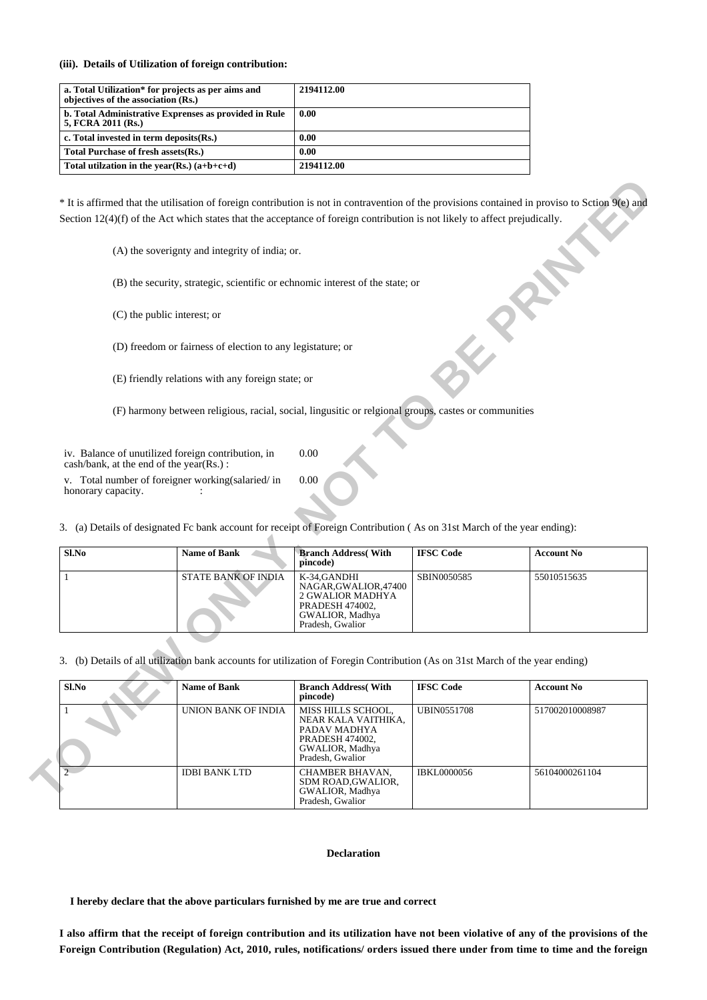### **(iii). Details of Utilization of foreign contribution:**

| a. Total Utilization* for projects as per aims and<br>objectives of the association (Rs.) | 2194112.00 |
|-------------------------------------------------------------------------------------------|------------|
| b. Total Administrative Exprenses as provided in Rule<br>5, FCRA 2011 (Rs.)               | 0.00       |
| c. Total invested in term deposits (Rs.)                                                  | 0.00       |
| Total Purchase of fresh assets (Rs.)                                                      | 0.00       |
| Total utilization in the year(Rs.) $(a+b+c+d)$                                            | 2194112.00 |

| Sl.No | <b>Name of Bank</b>        | <b>Branch Address</b> (With<br>pincode)                                                                            | <b>IFSC Code</b> | <b>Account No</b> |
|-------|----------------------------|--------------------------------------------------------------------------------------------------------------------|------------------|-------------------|
|       | <b>STATE BANK OF INDIA</b> | K-34.GANDHI<br>NAGAR, GWALIOR, 47400<br>2 GWALIOR MADHYA<br>PRADESH 474002,<br>GWALIOR, Madhya<br>Pradesh, Gwalior | SBIN0050585      | 55010515635       |

|                    | Section $12(4)(f)$ of the Act which states that the acceptance of foreign contribution is not likely to affect prejudically.                                                |                                                                                                                     |                    |                   |
|--------------------|-----------------------------------------------------------------------------------------------------------------------------------------------------------------------------|---------------------------------------------------------------------------------------------------------------------|--------------------|-------------------|
|                    | (A) the soverignty and integrity of india; or.                                                                                                                              |                                                                                                                     |                    |                   |
|                    | (B) the security, strategic, scientific or echnomic interest of the state; or                                                                                               |                                                                                                                     |                    |                   |
|                    | (C) the public interest; or                                                                                                                                                 |                                                                                                                     |                    |                   |
|                    | (D) freedom or fairness of election to any legistature; or                                                                                                                  |                                                                                                                     |                    |                   |
|                    | (E) friendly relations with any foreign state; or                                                                                                                           |                                                                                                                     |                    |                   |
|                    | (F) harmony between religious, racial, social, lingusitic or relgional groups, castes or communities                                                                        |                                                                                                                     |                    |                   |
|                    | iv. Balance of unutilized foreign contribution, in<br>cash/bank, at the end of the year(Rs.):                                                                               | 0.00                                                                                                                |                    |                   |
|                    |                                                                                                                                                                             |                                                                                                                     |                    |                   |
| honorary capacity. | v. Total number of foreigner working(salaried/in<br>3. (a) Details of designated Fc bank account for receipt of Foreign Contribution (As on 31st March of the year ending): | 0.00                                                                                                                |                    |                   |
| $Sl$ .No           | <b>Name of Bank</b>                                                                                                                                                         | <b>Branch Address</b> (With<br>pincode)                                                                             | <b>IFSC</b> Code   | <b>Account No</b> |
| 1                  | STATE BANK OF INDIA                                                                                                                                                         | K-34, GANDHI<br>NAGAR, GWALIOR, 47400<br>2 GWALIOR MADHYA<br>PRADESH 474002,<br>GWALIOR, Madhya<br>Pradesh, Gwalior | SBIN0050585        | 55010515635       |
|                    | (b) Details of all utilization bank accounts for utilization of Foregin Contribution (As on 31st March of the year ending)                                                  |                                                                                                                     |                    |                   |
| $Sl$ .No           | <b>Name of Bank</b>                                                                                                                                                         | <b>Branch Address</b> (With<br>pincode)                                                                             | <b>IFSC Code</b>   | <b>Account No</b> |
| 3.                 | <b>UNION BANK OF INDIA</b>                                                                                                                                                  | MISS HILLS SCHOOL,<br>NEAR KALA VAITHIKA,<br>PADAV MADHYA<br>PRADESH 474002,<br>GWALIOR, Madhya<br>Pradesh, Gwalior | <b>UBIN0551708</b> | 517002010008987   |

#### **Declaration**

 **I hereby declare that the above particulars furnished by me are true and correct**

**I also affirm that the receipt of foreign contribution and its utilization have not been violative of any of the provisions of the Foreign Contribution (Regulation) Act, 2010, rules, notifications/ orders issued there under from time to time and the foreign**